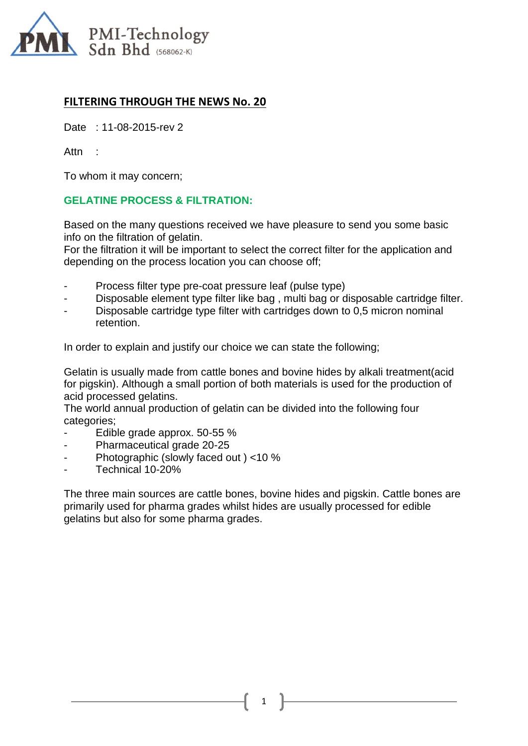

## **FILTERING THROUGH THE NEWS No. 20**

Date : 11-08-2015-rev 2

Attn :

To whom it may concern;

## **GELATINE PROCESS & FILTRATION:**

Based on the many questions received we have pleasure to send you some basic info on the filtration of gelatin.

For the filtration it will be important to select the correct filter for the application and depending on the process location you can choose off;

- Process filter type pre-coat pressure leaf (pulse type)
- Disposable element type filter like bag, multi bag or disposable cartridge filter.
- Disposable cartridge type filter with cartridges down to 0,5 micron nominal retention.

In order to explain and justify our choice we can state the following;

Gelatin is usually made from cattle bones and bovine hides by alkali treatment(acid for pigskin). Although a small portion of both materials is used for the production of acid processed gelatins.

The world annual production of gelatin can be divided into the following four categories;

- Edible grade approx. 50-55 %
- Pharmaceutical grade 20-25
- Photographic (slowly faced out ) <10 %
- Technical 10-20%

The three main sources are cattle bones, bovine hides and pigskin. Cattle bones are primarily used for pharma grades whilst hides are usually processed for edible gelatins but also for some pharma grades.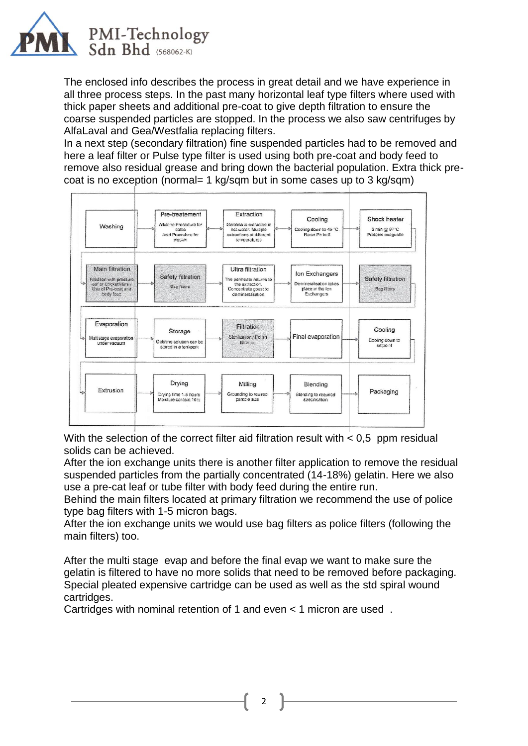

The enclosed info describes the process in great detail and we have experience in all three process steps. In the past many horizontal leaf type filters where used with thick paper sheets and additional pre-coat to give depth filtration to ensure the coarse suspended particles are stopped. In the process we also saw centrifuges by AlfaLaval and Gea/Westfalia replacing filters.

In a next step (secondary filtration) fine suspended particles had to be removed and here a leaf filter or Pulse type filter is used using both pre-coat and body feed to remove also residual grease and bring down the bacterial population. Extra thick precoat is no exception (normal= 1 kg/sqm but in some cases up to 3 kg/sqm)



With the selection of the correct filter aid filtration result with  $< 0.5$  ppm residual solids can be achieved.

After the ion exchange units there is another filter application to remove the residual suspended particles from the partially concentrated (14-18%) gelatin. Here we also use a pre-cat leaf or tube filter with body feed during the entire run.

Behind the main filters located at primary filtration we recommend the use of police type bag filters with 1-5 micron bags.

After the ion exchange units we would use bag filters as police filters (following the main filters) too.

After the multi stage evap and before the final evap we want to make sure the gelatin is filtered to have no more solids that need to be removed before packaging. Special pleated expensive cartridge can be used as well as the std spiral wound cartridges.

2

Cartridges with nominal retention of 1 and even < 1 micron are used .